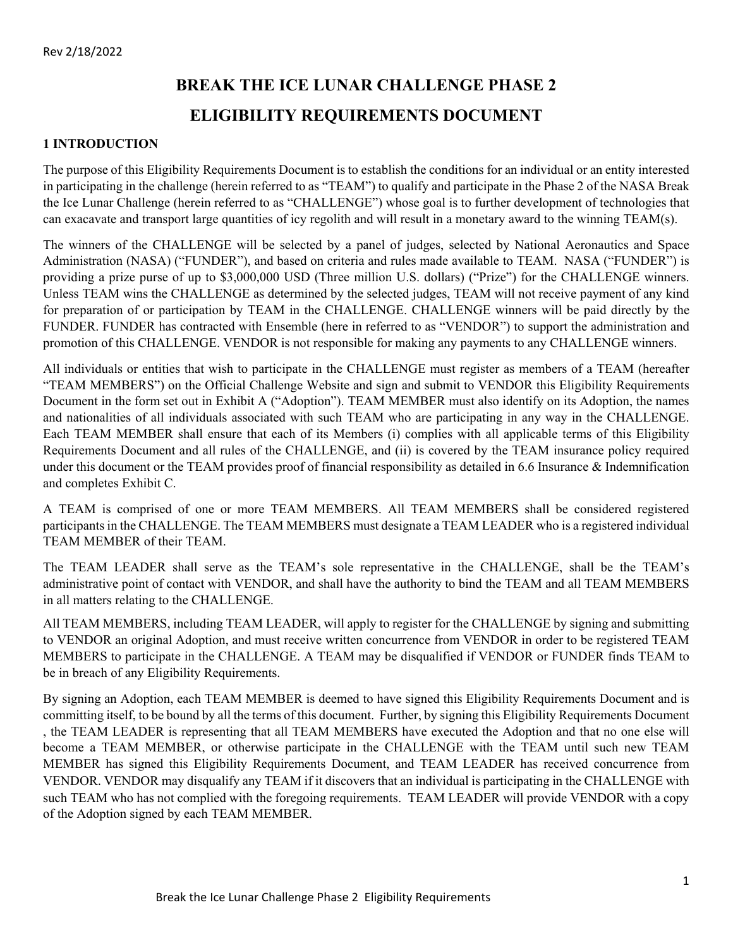# **BREAK THE ICE LUNAR CHALLENGE PHASE 2 ELIGIBILITY REQUIREMENTS DOCUMENT**

#### **1 INTRODUCTION**

The purpose of this Eligibility Requirements Document is to establish the conditions for an individual or an entity interested in participating in the challenge (herein referred to as "TEAM") to qualify and participate in the Phase 2 of the NASA Break the Ice Lunar Challenge (herein referred to as "CHALLENGE") whose goal is to further development of technologies that can exacavate and transport large quantities of icy regolith and will result in a monetary award to the winning TEAM(s).

The winners of the CHALLENGE will be selected by a panel of judges, selected by National Aeronautics and Space Administration (NASA) ("FUNDER"), and based on criteria and rules made available to TEAM. NASA ("FUNDER") is providing a prize purse of up to \$3,000,000 USD (Three million U.S. dollars) ("Prize") for the CHALLENGE winners. Unless TEAM wins the CHALLENGE as determined by the selected judges, TEAM will not receive payment of any kind for preparation of or participation by TEAM in the CHALLENGE. CHALLENGE winners will be paid directly by the FUNDER. FUNDER has contracted with Ensemble (here in referred to as "VENDOR") to support the administration and promotion of this CHALLENGE. VENDOR is not responsible for making any payments to any CHALLENGE winners.

All individuals or entities that wish to participate in the CHALLENGE must register as members of a TEAM (hereafter "TEAM MEMBERS") on the Official Challenge Website and sign and submit to VENDOR this Eligibility Requirements Document in the form set out in Exhibit A ("Adoption"). TEAM MEMBER must also identify on its Adoption, the names and nationalities of all individuals associated with such TEAM who are participating in any way in the CHALLENGE. Each TEAM MEMBER shall ensure that each of its Members (i) complies with all applicable terms of this Eligibility Requirements Document and all rules of the CHALLENGE, and (ii) is covered by the TEAM insurance policy required under this document or the TEAM provides proof of financial responsibility as detailed in 6.6 Insurance & Indemnification and completes Exhibit C.

A TEAM is comprised of one or more TEAM MEMBERS. All TEAM MEMBERS shall be considered registered participants in the CHALLENGE. The TEAM MEMBERS must designate a TEAM LEADER who is a registered individual TEAM MEMBER of their TEAM.

The TEAM LEADER shall serve as the TEAM's sole representative in the CHALLENGE, shall be the TEAM's administrative point of contact with VENDOR, and shall have the authority to bind the TEAM and all TEAM MEMBERS in all matters relating to the CHALLENGE.

All TEAM MEMBERS, including TEAM LEADER, will apply to register for the CHALLENGE by signing and submitting to VENDOR an original Adoption, and must receive written concurrence from VENDOR in order to be registered TEAM MEMBERS to participate in the CHALLENGE. A TEAM may be disqualified if VENDOR or FUNDER finds TEAM to be in breach of any Eligibility Requirements.

By signing an Adoption, each TEAM MEMBER is deemed to have signed this Eligibility Requirements Document and is committing itself, to be bound by all the terms of this document. Further, by signing this Eligibility Requirements Document , the TEAM LEADER is representing that all TEAM MEMBERS have executed the Adoption and that no one else will become a TEAM MEMBER, or otherwise participate in the CHALLENGE with the TEAM until such new TEAM MEMBER has signed this Eligibility Requirements Document, and TEAM LEADER has received concurrence from VENDOR. VENDOR may disqualify any TEAM if it discovers that an individual is participating in the CHALLENGE with such TEAM who has not complied with the foregoing requirements. TEAM LEADER will provide VENDOR with a copy of the Adoption signed by each TEAM MEMBER.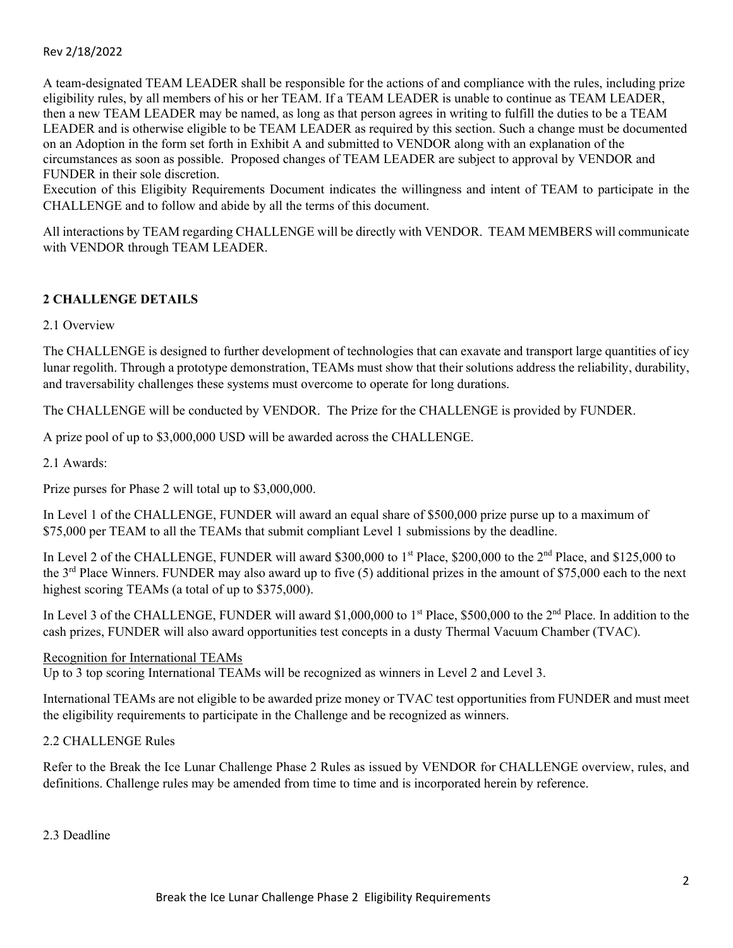A team-designated TEAM LEADER shall be responsible for the actions of and compliance with the rules, including prize eligibility rules, by all members of his or her TEAM. If a TEAM LEADER is unable to continue as TEAM LEADER, then a new TEAM LEADER may be named, as long as that person agrees in writing to fulfill the duties to be a TEAM LEADER and is otherwise eligible to be TEAM LEADER as required by this section. Such a change must be documented on an Adoption in the form set forth in Exhibit A and submitted to VENDOR along with an explanation of the circumstances as soon as possible. Proposed changes of TEAM LEADER are subject to approval by VENDOR and FUNDER in their sole discretion.

Execution of this Eligibity Requirements Document indicates the willingness and intent of TEAM to participate in the CHALLENGE and to follow and abide by all the terms of this document.

All interactions by TEAM regarding CHALLENGE will be directly with VENDOR. TEAM MEMBERS will communicate with VENDOR through TEAM LEADER.

## **2 CHALLENGE DETAILS**

2.1 Overview

The CHALLENGE is designed to further development of technologies that can exavate and transport large quantities of icy lunar regolith. Through a prototype demonstration, TEAMs must show that their solutions address the reliability, durability, and traversability challenges these systems must overcome to operate for long durations.

The CHALLENGE will be conducted by VENDOR. The Prize for the CHALLENGE is provided by FUNDER.

A prize pool of up to \$3,000,000 USD will be awarded across the CHALLENGE.

2.1 Awards:

Prize purses for Phase 2 will total up to \$3,000,000.

In Level 1 of the CHALLENGE, FUNDER will award an equal share of \$500,000 prize purse up to a maximum of \$75,000 per TEAM to all the TEAMs that submit compliant Level 1 submissions by the deadline.

In Level 2 of the CHALLENGE, FUNDER will award \$300,000 to 1<sup>st</sup> Place, \$200,000 to the 2<sup>nd</sup> Place, and \$125,000 to the  $3<sup>rd</sup>$  Place Winners. FUNDER may also award up to five (5) additional prizes in the amount of \$75,000 each to the next highest scoring TEAMs (a total of up to \$375,000).

In Level 3 of the CHALLENGE, FUNDER will award \$1,000,000 to 1<sup>st</sup> Place, \$500,000 to the 2<sup>nd</sup> Place. In addition to the cash prizes, FUNDER will also award opportunities test concepts in a dusty Thermal Vacuum Chamber (TVAC).

#### Recognition for International TEAMs

Up to 3 top scoring International TEAMs will be recognized as winners in Level 2 and Level 3.

International TEAMs are not eligible to be awarded prize money or TVAC test opportunities from FUNDER and must meet the eligibility requirements to participate in the Challenge and be recognized as winners.

### 2.2 CHALLENGE Rules

Refer to the Break the Ice Lunar Challenge Phase 2 Rules as issued by VENDOR for CHALLENGE overview, rules, and definitions. Challenge rules may be amended from time to time and is incorporated herein by reference.

2.3 Deadline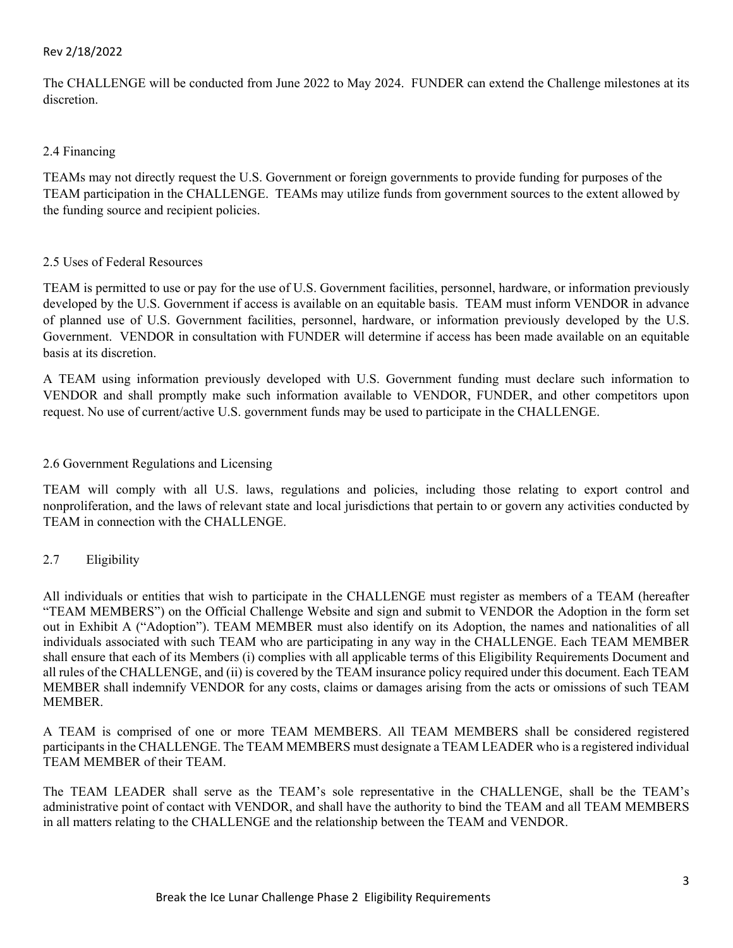The CHALLENGE will be conducted from June 2022 to May 2024. FUNDER can extend the Challenge milestones at its discretion.

## 2.4 Financing

TEAMs may not directly request the U.S. Government or foreign governments to provide funding for purposes of the TEAM participation in the CHALLENGE. TEAMs may utilize funds from government sources to the extent allowed by the funding source and recipient policies.

## 2.5 Uses of Federal Resources

TEAM is permitted to use or pay for the use of U.S. Government facilities, personnel, hardware, or information previously developed by the U.S. Government if access is available on an equitable basis. TEAM must inform VENDOR in advance of planned use of U.S. Government facilities, personnel, hardware, or information previously developed by the U.S. Government. VENDOR in consultation with FUNDER will determine if access has been made available on an equitable basis at its discretion.

A TEAM using information previously developed with U.S. Government funding must declare such information to VENDOR and shall promptly make such information available to VENDOR, FUNDER, and other competitors upon request. No use of current/active U.S. government funds may be used to participate in the CHALLENGE.

## 2.6 Government Regulations and Licensing

TEAM will comply with all U.S. laws, regulations and policies, including those relating to export control and nonproliferation, and the laws of relevant state and local jurisdictions that pertain to or govern any activities conducted by TEAM in connection with the CHALLENGE.

## 2.7 Eligibility

All individuals or entities that wish to participate in the CHALLENGE must register as members of a TEAM (hereafter "TEAM MEMBERS") on the Official Challenge Website and sign and submit to VENDOR the Adoption in the form set out in Exhibit A ("Adoption"). TEAM MEMBER must also identify on its Adoption, the names and nationalities of all individuals associated with such TEAM who are participating in any way in the CHALLENGE. Each TEAM MEMBER shall ensure that each of its Members (i) complies with all applicable terms of this Eligibility Requirements Document and all rules of the CHALLENGE, and (ii) is covered by the TEAM insurance policy required under this document. Each TEAM MEMBER shall indemnify VENDOR for any costs, claims or damages arising from the acts or omissions of such TEAM MEMBER.

A TEAM is comprised of one or more TEAM MEMBERS. All TEAM MEMBERS shall be considered registered participants in the CHALLENGE. The TEAM MEMBERS must designate a TEAM LEADER who is a registered individual TEAM MEMBER of their TEAM.

The TEAM LEADER shall serve as the TEAM's sole representative in the CHALLENGE, shall be the TEAM's administrative point of contact with VENDOR, and shall have the authority to bind the TEAM and all TEAM MEMBERS in all matters relating to the CHALLENGE and the relationship between the TEAM and VENDOR.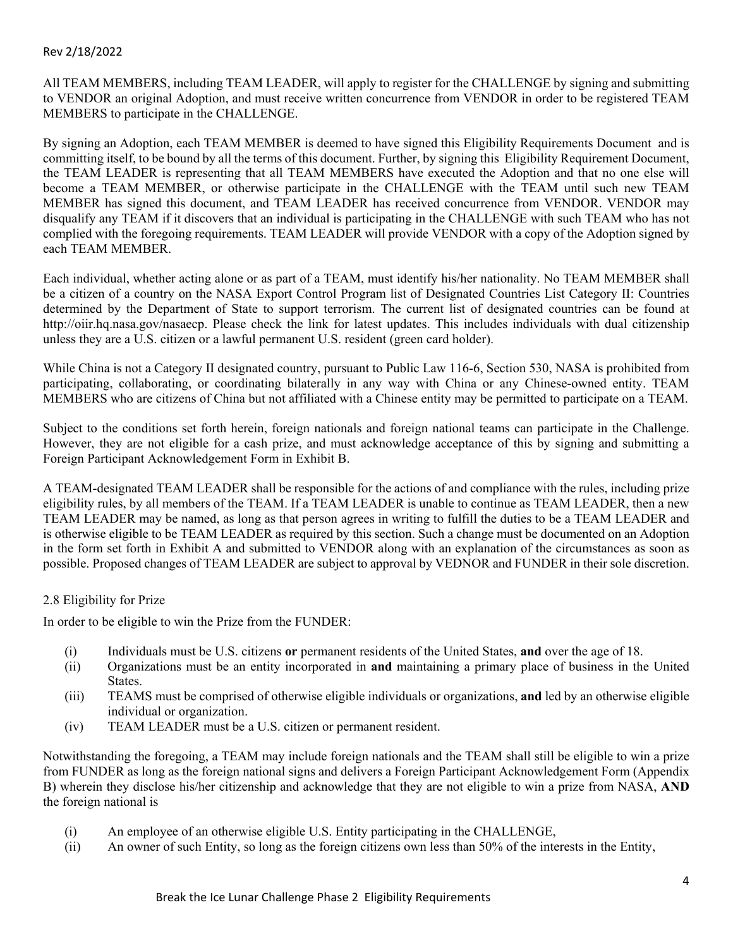All TEAM MEMBERS, including TEAM LEADER, will apply to register for the CHALLENGE by signing and submitting to VENDOR an original Adoption, and must receive written concurrence from VENDOR in order to be registered TEAM MEMBERS to participate in the CHALLENGE.

By signing an Adoption, each TEAM MEMBER is deemed to have signed this Eligibility Requirements Document and is committing itself, to be bound by all the terms of this document. Further, by signing this Eligibility Requirement Document, the TEAM LEADER is representing that all TEAM MEMBERS have executed the Adoption and that no one else will become a TEAM MEMBER, or otherwise participate in the CHALLENGE with the TEAM until such new TEAM MEMBER has signed this document, and TEAM LEADER has received concurrence from VENDOR. VENDOR may disqualify any TEAM if it discovers that an individual is participating in the CHALLENGE with such TEAM who has not complied with the foregoing requirements. TEAM LEADER will provide VENDOR with a copy of the Adoption signed by each TEAM MEMBER.

Each individual, whether acting alone or as part of a TEAM, must identify his/her nationality. No TEAM MEMBER shall be a citizen of a country on the NASA Export Control Program list of Designated Countries List Category II: Countries determined by the Department of State to support terrorism. The current list of designated countries can be found at http://oiir.hq.nasa.gov/nasaecp. Please check the link for latest updates. This includes individuals with dual citizenship unless they are a U.S. citizen or a lawful permanent U.S. resident (green card holder).

While China is not a Category II designated country, pursuant to Public Law 116-6, Section 530, NASA is prohibited from participating, collaborating, or coordinating bilaterally in any way with China or any Chinese-owned entity. TEAM MEMBERS who are citizens of China but not affiliated with a Chinese entity may be permitted to participate on a TEAM.

Subject to the conditions set forth herein, foreign nationals and foreign national teams can participate in the Challenge. However, they are not eligible for a cash prize, and must acknowledge acceptance of this by signing and submitting a Foreign Participant Acknowledgement Form in Exhibit B.

A TEAM-designated TEAM LEADER shall be responsible for the actions of and compliance with the rules, including prize eligibility rules, by all members of the TEAM. If a TEAM LEADER is unable to continue as TEAM LEADER, then a new TEAM LEADER may be named, as long as that person agrees in writing to fulfill the duties to be a TEAM LEADER and is otherwise eligible to be TEAM LEADER as required by this section. Such a change must be documented on an Adoption in the form set forth in Exhibit A and submitted to VENDOR along with an explanation of the circumstances as soon as possible. Proposed changes of TEAM LEADER are subject to approval by VEDNOR and FUNDER in their sole discretion.

#### 2.8 Eligibility for Prize

In order to be eligible to win the Prize from the FUNDER:

- (i) Individuals must be U.S. citizens **or** permanent residents of the United States, **and** over the age of 18.
- (ii) Organizations must be an entity incorporated in **and** maintaining a primary place of business in the United States.
- (iii) TEAMS must be comprised of otherwise eligible individuals or organizations, **and** led by an otherwise eligible individual or organization.
- (iv) TEAM LEADER must be a U.S. citizen or permanent resident.

Notwithstanding the foregoing, a TEAM may include foreign nationals and the TEAM shall still be eligible to win a prize from FUNDER as long as the foreign national signs and delivers a Foreign Participant Acknowledgement Form (Appendix B) wherein they disclose his/her citizenship and acknowledge that they are not eligible to win a prize from NASA, **AND** the foreign national is

- (i) An employee of an otherwise eligible U.S. Entity participating in the CHALLENGE,
- (ii) An owner of such Entity, so long as the foreign citizens own less than 50% of the interests in the Entity,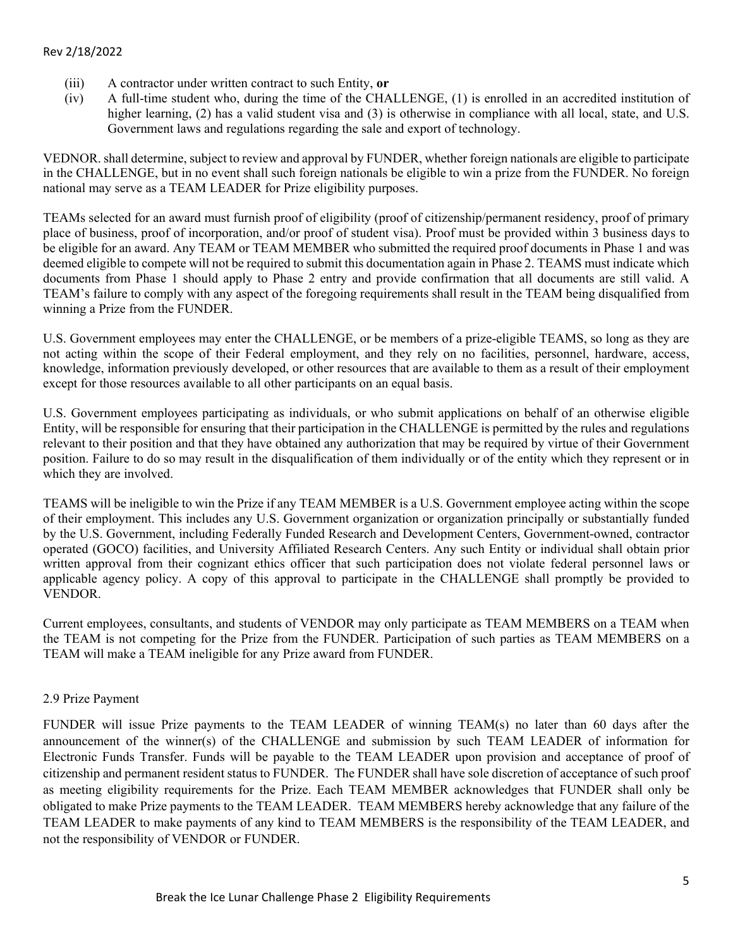- (iii) A contractor under written contract to such Entity, **or**
- (iv) A full-time student who, during the time of the CHALLENGE, (1) is enrolled in an accredited institution of higher learning, (2) has a valid student visa and (3) is otherwise in compliance with all local, state, and U.S. Government laws and regulations regarding the sale and export of technology.

VEDNOR. shall determine, subject to review and approval by FUNDER, whether foreign nationals are eligible to participate in the CHALLENGE, but in no event shall such foreign nationals be eligible to win a prize from the FUNDER. No foreign national may serve as a TEAM LEADER for Prize eligibility purposes.

TEAMs selected for an award must furnish proof of eligibility (proof of citizenship/permanent residency, proof of primary place of business, proof of incorporation, and/or proof of student visa). Proof must be provided within 3 business days to be eligible for an award. Any TEAM or TEAM MEMBER who submitted the required proof documents in Phase 1 and was deemed eligible to compete will not be required to submit this documentation again in Phase 2. TEAMS must indicate which documents from Phase 1 should apply to Phase 2 entry and provide confirmation that all documents are still valid. A TEAM's failure to comply with any aspect of the foregoing requirements shall result in the TEAM being disqualified from winning a Prize from the FUNDER.

U.S. Government employees may enter the CHALLENGE, or be members of a prize-eligible TEAMS, so long as they are not acting within the scope of their Federal employment, and they rely on no facilities, personnel, hardware, access, knowledge, information previously developed, or other resources that are available to them as a result of their employment except for those resources available to all other participants on an equal basis.

U.S. Government employees participating as individuals, or who submit applications on behalf of an otherwise eligible Entity, will be responsible for ensuring that their participation in the CHALLENGE is permitted by the rules and regulations relevant to their position and that they have obtained any authorization that may be required by virtue of their Government position. Failure to do so may result in the disqualification of them individually or of the entity which they represent or in which they are involved.

TEAMS will be ineligible to win the Prize if any TEAM MEMBER is a U.S. Government employee acting within the scope of their employment. This includes any U.S. Government organization or organization principally or substantially funded by the U.S. Government, including Federally Funded Research and Development Centers, Government-owned, contractor operated (GOCO) facilities, and University Affiliated Research Centers. Any such Entity or individual shall obtain prior written approval from their cognizant ethics officer that such participation does not violate federal personnel laws or applicable agency policy. A copy of this approval to participate in the CHALLENGE shall promptly be provided to VENDOR.

Current employees, consultants, and students of VENDOR may only participate as TEAM MEMBERS on a TEAM when the TEAM is not competing for the Prize from the FUNDER. Participation of such parties as TEAM MEMBERS on a TEAM will make a TEAM ineligible for any Prize award from FUNDER.

#### 2.9 Prize Payment

FUNDER will issue Prize payments to the TEAM LEADER of winning TEAM(s) no later than 60 days after the announcement of the winner(s) of the CHALLENGE and submission by such TEAM LEADER of information for Electronic Funds Transfer. Funds will be payable to the TEAM LEADER upon provision and acceptance of proof of citizenship and permanent resident status to FUNDER. The FUNDER shall have sole discretion of acceptance of such proof as meeting eligibility requirements for the Prize. Each TEAM MEMBER acknowledges that FUNDER shall only be obligated to make Prize payments to the TEAM LEADER. TEAM MEMBERS hereby acknowledge that any failure of the TEAM LEADER to make payments of any kind to TEAM MEMBERS is the responsibility of the TEAM LEADER, and not the responsibility of VENDOR or FUNDER.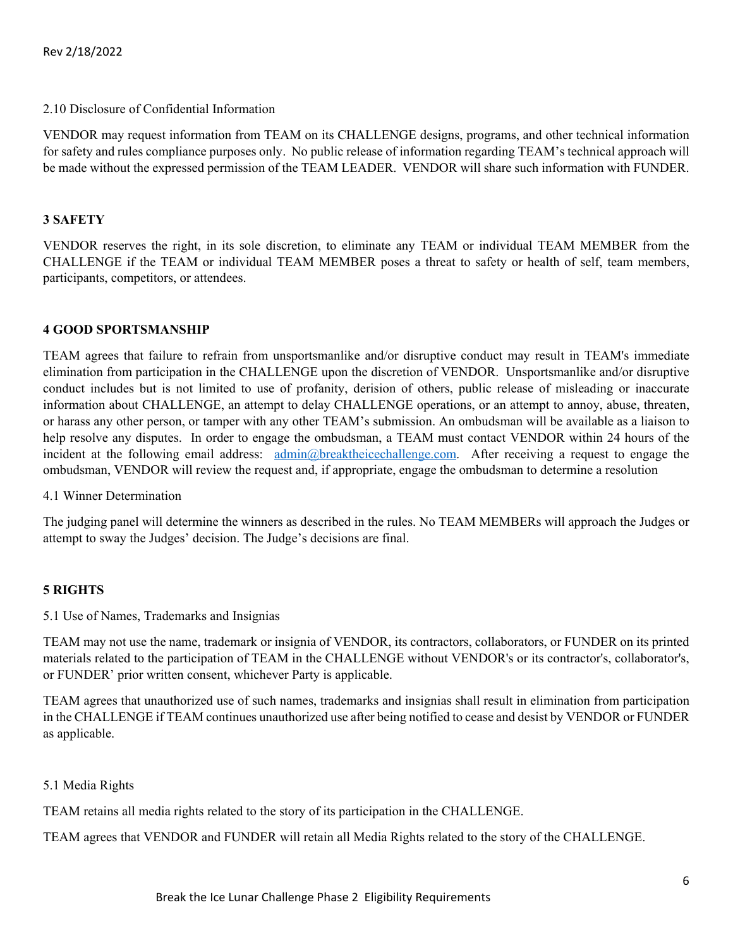#### 2.10 Disclosure of Confidential Information

VENDOR may request information from TEAM on its CHALLENGE designs, programs, and other technical information for safety and rules compliance purposes only. No public release of information regarding TEAM's technical approach will be made without the expressed permission of the TEAM LEADER. VENDOR will share such information with FUNDER.

## **3 SAFETY**

VENDOR reserves the right, in its sole discretion, to eliminate any TEAM or individual TEAM MEMBER from the CHALLENGE if the TEAM or individual TEAM MEMBER poses a threat to safety or health of self, team members, participants, competitors, or attendees.

## **4 GOOD SPORTSMANSHIP**

TEAM agrees that failure to refrain from unsportsmanlike and/or disruptive conduct may result in TEAM's immediate elimination from participation in the CHALLENGE upon the discretion of VENDOR. Unsportsmanlike and/or disruptive conduct includes but is not limited to use of profanity, derision of others, public release of misleading or inaccurate information about CHALLENGE, an attempt to delay CHALLENGE operations, or an attempt to annoy, abuse, threaten, or harass any other person, or tamper with any other TEAM's submission. An ombudsman will be available as a liaison to help resolve any disputes. In order to engage the ombudsman, a TEAM must contact VENDOR within 24 hours of the incident at the following email address: [admin@breaktheicechallenge.com.](mailto:admin@breaktheicechallenge.com) After receiving a request to engage the ombudsman, VENDOR will review the request and, if appropriate, engage the ombudsman to determine a resolution

#### 4.1 Winner Determination

The judging panel will determine the winners as described in the rules. No TEAM MEMBERs will approach the Judges or attempt to sway the Judges' decision. The Judge's decisions are final.

#### **5 RIGHTS**

5.1 Use of Names, Trademarks and Insignias

TEAM may not use the name, trademark or insignia of VENDOR, its contractors, collaborators, or FUNDER on its printed materials related to the participation of TEAM in the CHALLENGE without VENDOR's or its contractor's, collaborator's, or FUNDER' prior written consent, whichever Party is applicable.

TEAM agrees that unauthorized use of such names, trademarks and insignias shall result in elimination from participation in the CHALLENGE if TEAM continues unauthorized use after being notified to cease and desist by VENDOR or FUNDER as applicable.

#### 5.1 Media Rights

TEAM retains all media rights related to the story of its participation in the CHALLENGE.

TEAM agrees that VENDOR and FUNDER will retain all Media Rights related to the story of the CHALLENGE.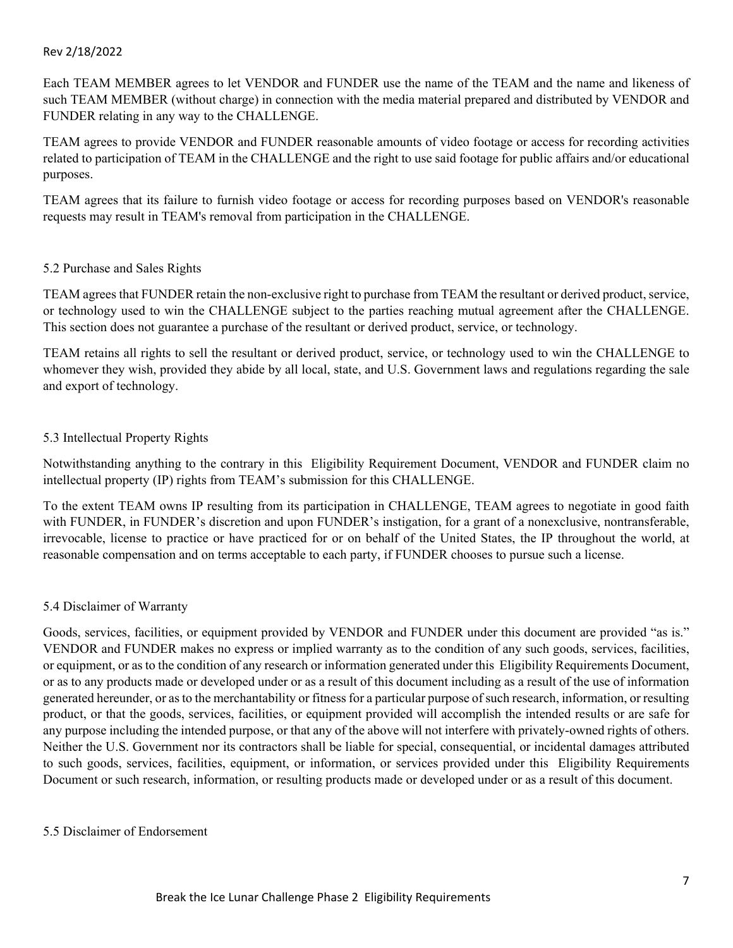Each TEAM MEMBER agrees to let VENDOR and FUNDER use the name of the TEAM and the name and likeness of such TEAM MEMBER (without charge) in connection with the media material prepared and distributed by VENDOR and FUNDER relating in any way to the CHALLENGE.

TEAM agrees to provide VENDOR and FUNDER reasonable amounts of video footage or access for recording activities related to participation of TEAM in the CHALLENGE and the right to use said footage for public affairs and/or educational purposes.

TEAM agrees that its failure to furnish video footage or access for recording purposes based on VENDOR's reasonable requests may result in TEAM's removal from participation in the CHALLENGE.

#### 5.2 Purchase and Sales Rights

TEAM agrees that FUNDER retain the non-exclusive right to purchase from TEAM the resultant or derived product, service, or technology used to win the CHALLENGE subject to the parties reaching mutual agreement after the CHALLENGE. This section does not guarantee a purchase of the resultant or derived product, service, or technology.

TEAM retains all rights to sell the resultant or derived product, service, or technology used to win the CHALLENGE to whomever they wish, provided they abide by all local, state, and U.S. Government laws and regulations regarding the sale and export of technology.

## 5.3 Intellectual Property Rights

Notwithstanding anything to the contrary in this Eligibility Requirement Document, VENDOR and FUNDER claim no intellectual property (IP) rights from TEAM's submission for this CHALLENGE.

To the extent TEAM owns IP resulting from its participation in CHALLENGE, TEAM agrees to negotiate in good faith with FUNDER, in FUNDER's discretion and upon FUNDER's instigation, for a grant of a nonexclusive, nontransferable, irrevocable, license to practice or have practiced for or on behalf of the United States, the IP throughout the world, at reasonable compensation and on terms acceptable to each party, if FUNDER chooses to pursue such a license.

#### 5.4 Disclaimer of Warranty

Goods, services, facilities, or equipment provided by VENDOR and FUNDER under this document are provided "as is." VENDOR and FUNDER makes no express or implied warranty as to the condition of any such goods, services, facilities, or equipment, or as to the condition of any research or information generated under this Eligibility Requirements Document, or as to any products made or developed under or as a result of this document including as a result of the use of information generated hereunder, or as to the merchantability or fitness for a particular purpose of such research, information, or resulting product, or that the goods, services, facilities, or equipment provided will accomplish the intended results or are safe for any purpose including the intended purpose, or that any of the above will not interfere with privately-owned rights of others. Neither the U.S. Government nor its contractors shall be liable for special, consequential, or incidental damages attributed to such goods, services, facilities, equipment, or information, or services provided under this Eligibility Requirements Document or such research, information, or resulting products made or developed under or as a result of this document.

#### 5.5 Disclaimer of Endorsement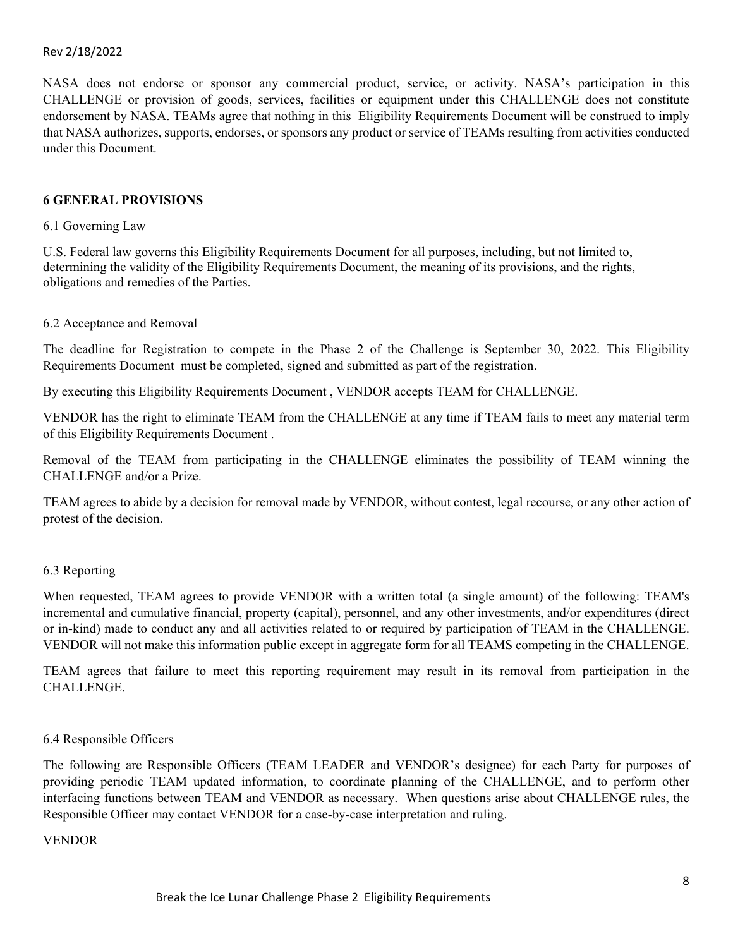NASA does not endorse or sponsor any commercial product, service, or activity. NASA's participation in this CHALLENGE or provision of goods, services, facilities or equipment under this CHALLENGE does not constitute endorsement by NASA. TEAMs agree that nothing in this Eligibility Requirements Document will be construed to imply that NASA authorizes, supports, endorses, or sponsors any product or service of TEAMs resulting from activities conducted under this Document.

#### **6 GENERAL PROVISIONS**

#### 6.1 Governing Law

U.S. Federal law governs this Eligibility Requirements Document for all purposes, including, but not limited to, determining the validity of the Eligibility Requirements Document, the meaning of its provisions, and the rights, obligations and remedies of the Parties.

#### 6.2 Acceptance and Removal

The deadline for Registration to compete in the Phase 2 of the Challenge is September 30, 2022. This Eligibility Requirements Document must be completed, signed and submitted as part of the registration.

By executing this Eligibility Requirements Document , VENDOR accepts TEAM for CHALLENGE.

VENDOR has the right to eliminate TEAM from the CHALLENGE at any time if TEAM fails to meet any material term of this Eligibility Requirements Document .

Removal of the TEAM from participating in the CHALLENGE eliminates the possibility of TEAM winning the CHALLENGE and/or a Prize.

TEAM agrees to abide by a decision for removal made by VENDOR, without contest, legal recourse, or any other action of protest of the decision.

#### 6.3 Reporting

When requested, TEAM agrees to provide VENDOR with a written total (a single amount) of the following: TEAM's incremental and cumulative financial, property (capital), personnel, and any other investments, and/or expenditures (direct or in-kind) made to conduct any and all activities related to or required by participation of TEAM in the CHALLENGE. VENDOR will not make this information public except in aggregate form for all TEAMS competing in the CHALLENGE.

TEAM agrees that failure to meet this reporting requirement may result in its removal from participation in the CHALLENGE.

#### 6.4 Responsible Officers

The following are Responsible Officers (TEAM LEADER and VENDOR's designee) for each Party for purposes of providing periodic TEAM updated information, to coordinate planning of the CHALLENGE, and to perform other interfacing functions between TEAM and VENDOR as necessary. When questions arise about CHALLENGE rules, the Responsible Officer may contact VENDOR for a case-by-case interpretation and ruling.

#### VENDOR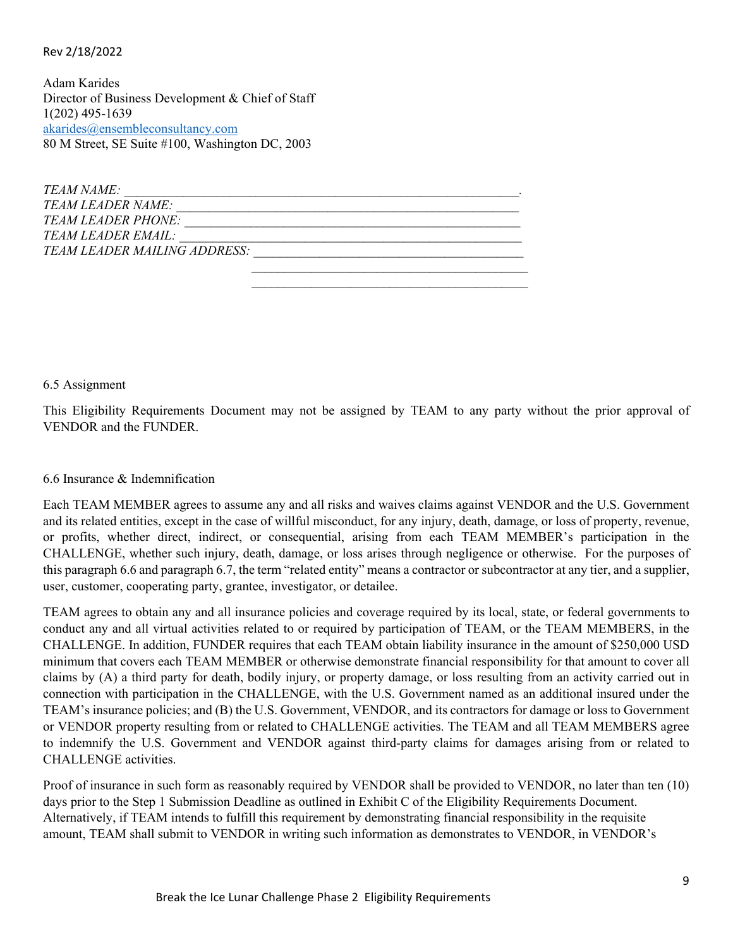Adam Karides Director of Business Development & Chief of Staff 1(202) 495-1639 [akarides@ensembleconsultancy.com](mailto:akarides@ensembleconsultancy.com) 80 M Street, SE Suite #100, Washington DC, 2003

| TEAM NAME:                          |  |
|-------------------------------------|--|
| TEAM LEADER NAME:                   |  |
| TEAM LEADER PHONE:                  |  |
| TEAM LEADER EMAIL:                  |  |
| <b>TEAM LEADER MAILING ADDRESS:</b> |  |
|                                     |  |

 $\mathcal{L}_\mathcal{L} = \{ \mathcal{L}_\mathcal{L} \mid \mathcal{L}_\mathcal{L} \in \mathcal{L}_\mathcal{L} \}$  , where  $\mathcal{L}_\mathcal{L} = \{ \mathcal{L}_\mathcal{L} \mid \mathcal{L}_\mathcal{L} \in \mathcal{L}_\mathcal{L} \}$ 

6.5 Assignment

This Eligibility Requirements Document may not be assigned by TEAM to any party without the prior approval of VENDOR and the FUNDER.

6.6 Insurance & Indemnification

Each TEAM MEMBER agrees to assume any and all risks and waives claims against VENDOR and the U.S. Government and its related entities, except in the case of willful misconduct, for any injury, death, damage, or loss of property, revenue, or profits, whether direct, indirect, or consequential, arising from each TEAM MEMBER's participation in the CHALLENGE, whether such injury, death, damage, or loss arises through negligence or otherwise. For the purposes of this paragraph 6.6 and paragraph 6.7, the term "related entity" means a contractor or subcontractor at any tier, and a supplier, user, customer, cooperating party, grantee, investigator, or detailee.

TEAM agrees to obtain any and all insurance policies and coverage required by its local, state, or federal governments to conduct any and all virtual activities related to or required by participation of TEAM, or the TEAM MEMBERS, in the CHALLENGE. In addition, FUNDER requires that each TEAM obtain liability insurance in the amount of \$250,000 USD minimum that covers each TEAM MEMBER or otherwise demonstrate financial responsibility for that amount to cover all claims by (A) a third party for death, bodily injury, or property damage, or loss resulting from an activity carried out in connection with participation in the CHALLENGE, with the U.S. Government named as an additional insured under the TEAM's insurance policies; and (B) the U.S. Government, VENDOR, and its contractors for damage or loss to Government or VENDOR property resulting from or related to CHALLENGE activities. The TEAM and all TEAM MEMBERS agree to indemnify the U.S. Government and VENDOR against third-party claims for damages arising from or related to CHALLENGE activities.

Proof of insurance in such form as reasonably required by VENDOR shall be provided to VENDOR, no later than ten (10) days prior to the Step 1 Submission Deadline as outlined in Exhibit C of the Eligibility Requirements Document. Alternatively, if TEAM intends to fulfill this requirement by demonstrating financial responsibility in the requisite amount, TEAM shall submit to VENDOR in writing such information as demonstrates to VENDOR, in VENDOR's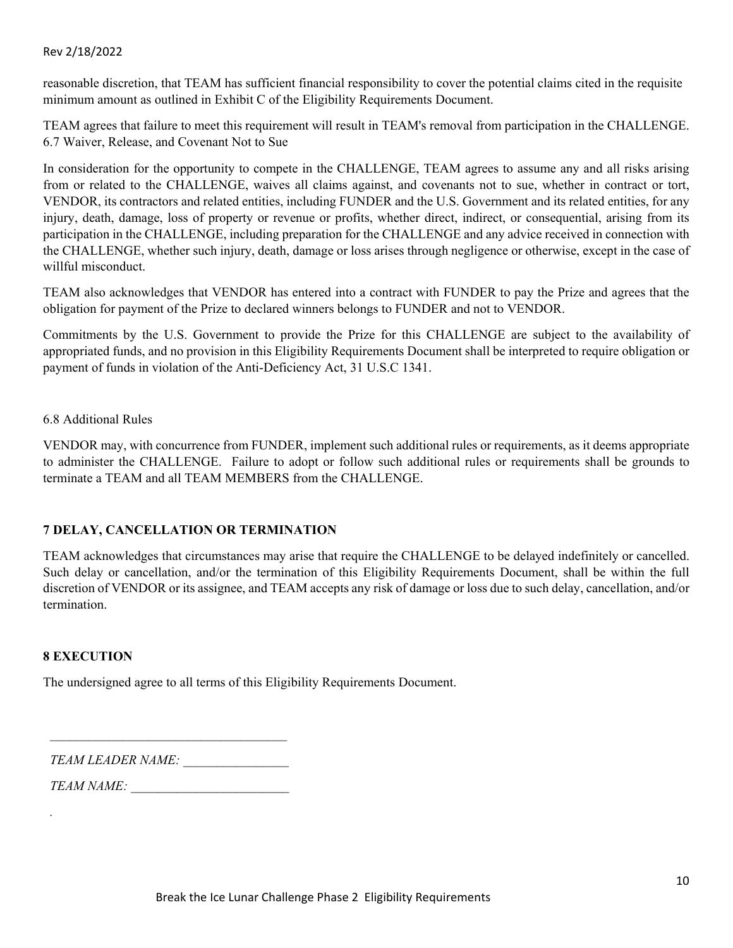reasonable discretion, that TEAM has sufficient financial responsibility to cover the potential claims cited in the requisite minimum amount as outlined in Exhibit C of the Eligibility Requirements Document.

TEAM agrees that failure to meet this requirement will result in TEAM's removal from participation in the CHALLENGE. 6.7 Waiver, Release, and Covenant Not to Sue

In consideration for the opportunity to compete in the CHALLENGE, TEAM agrees to assume any and all risks arising from or related to the CHALLENGE, waives all claims against, and covenants not to sue, whether in contract or tort, VENDOR, its contractors and related entities, including FUNDER and the U.S. Government and its related entities, for any injury, death, damage, loss of property or revenue or profits, whether direct, indirect, or consequential, arising from its participation in the CHALLENGE, including preparation for the CHALLENGE and any advice received in connection with the CHALLENGE, whether such injury, death, damage or loss arises through negligence or otherwise, except in the case of willful misconduct.

TEAM also acknowledges that VENDOR has entered into a contract with FUNDER to pay the Prize and agrees that the obligation for payment of the Prize to declared winners belongs to FUNDER and not to VENDOR.

Commitments by the U.S. Government to provide the Prize for this CHALLENGE are subject to the availability of appropriated funds, and no provision in this Eligibility Requirements Document shall be interpreted to require obligation or payment of funds in violation of the Anti-Deficiency Act, 31 U.S.C 1341.

#### 6.8 Additional Rules

VENDOR may, with concurrence from FUNDER, implement such additional rules or requirements, as it deems appropriate to administer the CHALLENGE. Failure to adopt or follow such additional rules or requirements shall be grounds to terminate a TEAM and all TEAM MEMBERS from the CHALLENGE.

## **7 DELAY, CANCELLATION OR TERMINATION**

TEAM acknowledges that circumstances may arise that require the CHALLENGE to be delayed indefinitely or cancelled. Such delay or cancellation, and/or the termination of this Eligibility Requirements Document, shall be within the full discretion of VENDOR or its assignee, and TEAM accepts any risk of damage or loss due to such delay, cancellation, and/or termination.

#### **8 EXECUTION**

*.* 

The undersigned agree to all terms of this Eligibility Requirements Document.

*TEAM LEADER NAME: \_\_\_\_\_\_\_\_\_\_\_\_\_\_\_\_*

*TEAM NAME: \_\_\_\_\_\_\_\_\_\_\_\_\_\_\_\_\_\_\_\_\_\_\_\_*

 $\mathcal{L}_\text{max}$  and  $\mathcal{L}_\text{max}$  and  $\mathcal{L}_\text{max}$  and  $\mathcal{L}_\text{max}$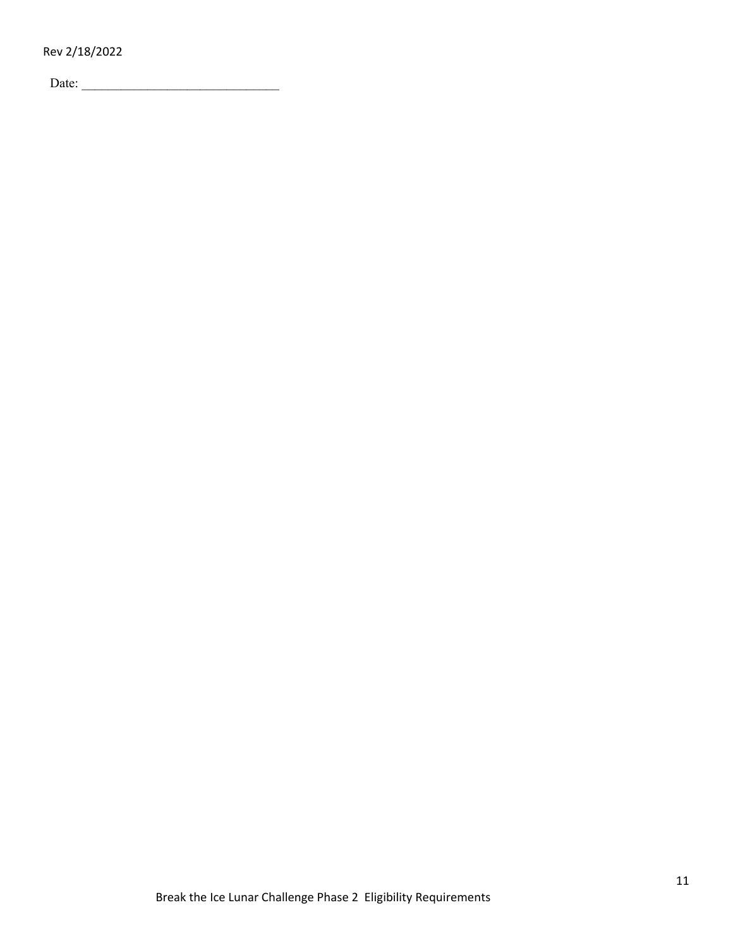Date: \_\_\_\_\_\_\_\_\_\_\_\_\_\_\_\_\_\_\_\_\_\_\_\_\_\_\_\_\_\_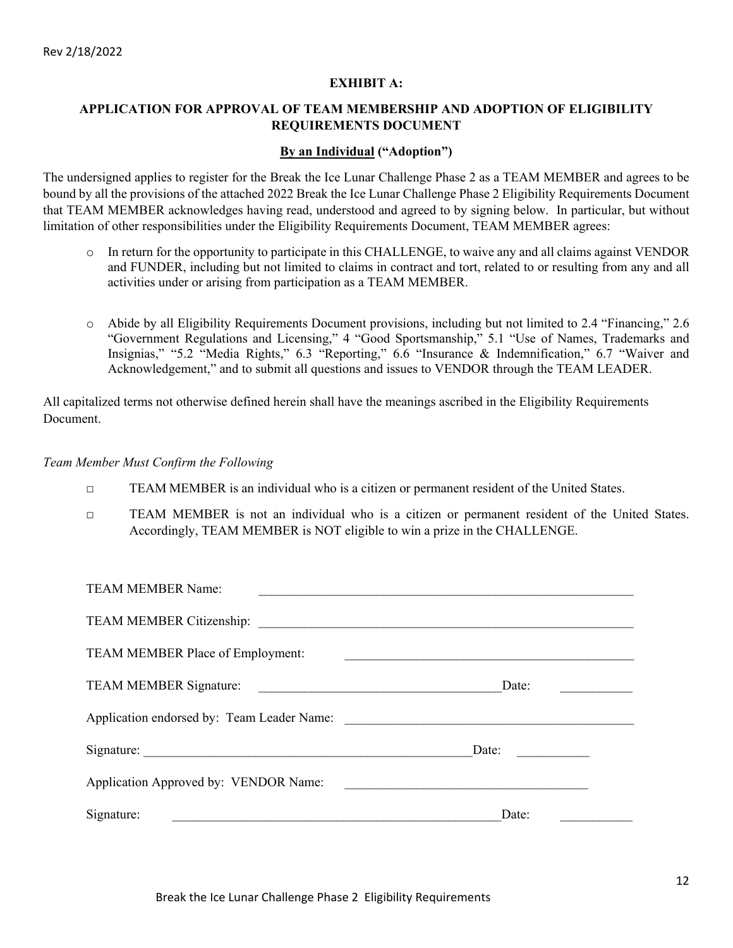#### **EXHIBIT A:**

## **APPLICATION FOR APPROVAL OF TEAM MEMBERSHIP AND ADOPTION OF ELIGIBILITY REQUIREMENTS DOCUMENT**

#### **By an Individual ("Adoption")**

The undersigned applies to register for the Break the Ice Lunar Challenge Phase 2 as a TEAM MEMBER and agrees to be bound by all the provisions of the attached 2022 Break the Ice Lunar Challenge Phase 2 Eligibility Requirements Document that TEAM MEMBER acknowledges having read, understood and agreed to by signing below. In particular, but without limitation of other responsibilities under the Eligibility Requirements Document, TEAM MEMBER agrees:

- o In return for the opportunity to participate in this CHALLENGE, to waive any and all claims against VENDOR and FUNDER, including but not limited to claims in contract and tort, related to or resulting from any and all activities under or arising from participation as a TEAM MEMBER.
- o Abide by all Eligibility Requirements Document provisions, including but not limited to 2.4 "Financing," 2.6 "Government Regulations and Licensing," 4 "Good Sportsmanship," 5.1 "Use of Names, Trademarks and Insignias," "5.2 "Media Rights," 6.3 "Reporting," 6.6 "Insurance & Indemnification," 6.7 "Waiver and Acknowledgement," and to submit all questions and issues to VENDOR through the TEAM LEADER.

All capitalized terms not otherwise defined herein shall have the meanings ascribed in the Eligibility Requirements Document.

#### *Team Member Must Confirm the Following*

- □ TEAM MEMBER is an individual who is a citizen or permanent resident of the United States.
- □ TEAM MEMBER is not an individual who is a citizen or permanent resident of the United States. Accordingly, TEAM MEMBER is NOT eligible to win a prize in the CHALLENGE.

| <b>TEAM MEMBER Name:</b>              |       |
|---------------------------------------|-------|
|                                       |       |
| TEAM MEMBER Place of Employment:      |       |
|                                       | Date: |
|                                       |       |
|                                       | Date: |
| Application Approved by: VENDOR Name: |       |
| Signature:                            | Date: |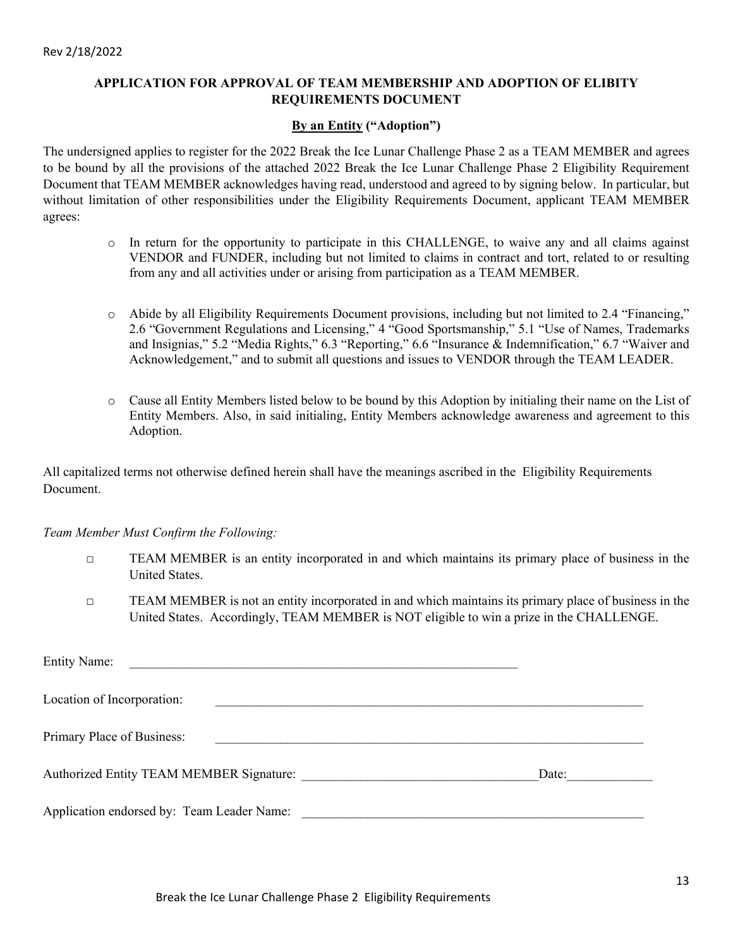## **APPLICATION FOR APPROVAL OF TEAM MEMBERSHIP AND ADOPTION OF ELIBITY REQUIREMENTS DOCUMENT**

## **By an Entity ("Adoption")**

The undersigned applies to register for the 2022 Break the Ice Lunar Challenge Phase 2 as a TEAM MEMBER and agrees to be bound by all the provisions of the attached 2022 Break the Ice Lunar Challenge Phase 2 Eligibility Requirement Document that TEAM MEMBER acknowledges having read, understood and agreed to by signing below. In particular, but without limitation of other responsibilities under the Eligibility Requirements Document, applicant TEAM MEMBER agrees:

- o In return for the opportunity to participate in this CHALLENGE, to waive any and all claims against VENDOR and FUNDER, including but not limited to claims in contract and tort, related to or resulting from any and all activities under or arising from participation as a TEAM MEMBER.
- o Abide by all Eligibility Requirements Document provisions, including but not limited to 2.4 "Financing," 2.6 "Government Regulations and Licensing," 4 "Good Sportsmanship," 5.1 "Use of Names, Trademarks and Insignias," 5.2 "Media Rights," 6.3 "Reporting," 6.6 "Insurance & Indemnification," 6.7 "Waiver and Acknowledgement," and to submit all questions and issues to VENDOR through the TEAM LEADER.
- o Cause all Entity Members listed below to be bound by this Adoption by initialing their name on the List of Entity Members. Also, in said initialing, Entity Members acknowledge awareness and agreement to this Adoption.

All capitalized terms not otherwise defined herein shall have the meanings ascribed in the Eligibility Requirements Document.

#### *Team Member Must Confirm the Following:*

- **TEAM MEMBER** is an entity incorporated in and which maintains its primary place of business in the United States.
- **TEAM MEMBER** is not an entity incorporated in and which maintains its primary place of business in the United States. Accordingly, TEAM MEMBER is NOT eligible to win a prize in the CHALLENGE.

| <b>Entity Name:</b><br><u> 1989 - Johann Stein, mars and de Britannich (b. 1989)</u> |       |
|--------------------------------------------------------------------------------------|-------|
| Location of Incorporation:                                                           |       |
| Primary Place of Business:                                                           |       |
| Authorized Entity TEAM MEMBER Signature:                                             | Date: |
| Application endorsed by: Team Leader Name:                                           |       |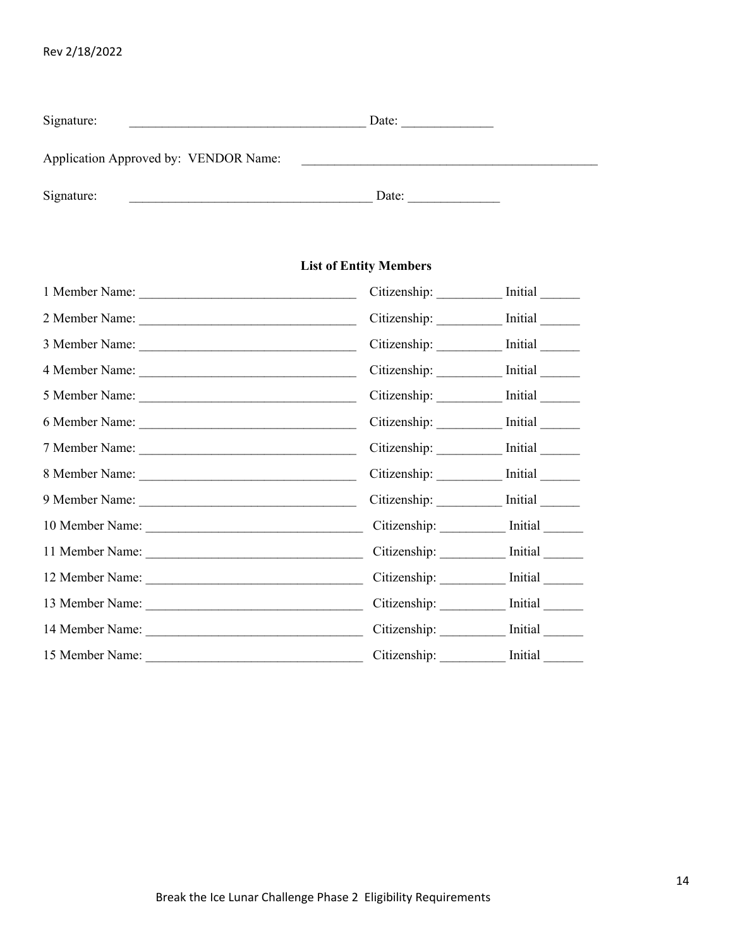| Rev 2/18/2022 |  |  |  |  |
|---------------|--|--|--|--|
|---------------|--|--|--|--|

| Signature:                            | Date: |  |
|---------------------------------------|-------|--|
| Application Approved by: VENDOR Name: |       |  |
| Signature:                            | Date: |  |

## **List of Entity Members**

|                 | Citizenship: ___________ Initial _______ |  |
|-----------------|------------------------------------------|--|
| 2 Member Name:  | Citizenship: ___________ Initial _______ |  |
|                 | Citizenship: ___________ Initial _______ |  |
|                 | Citizenship: Initial                     |  |
|                 | Citizenship: ___________ Initial _______ |  |
|                 | Citizenship: Initial                     |  |
|                 | Citizenship: ___________ Initial _______ |  |
|                 | Citizenship: Initial                     |  |
|                 | Citizenship: __________ Initial ______   |  |
| 10 Member Name: | Citizenship: __________ Initial _______  |  |
|                 | Citizenship: Initial                     |  |
|                 | Citizenship: Initial                     |  |
|                 | Citizenship: Initial                     |  |
|                 | Citizenship: __________ Initial ______   |  |
|                 | Citizenship: Initial                     |  |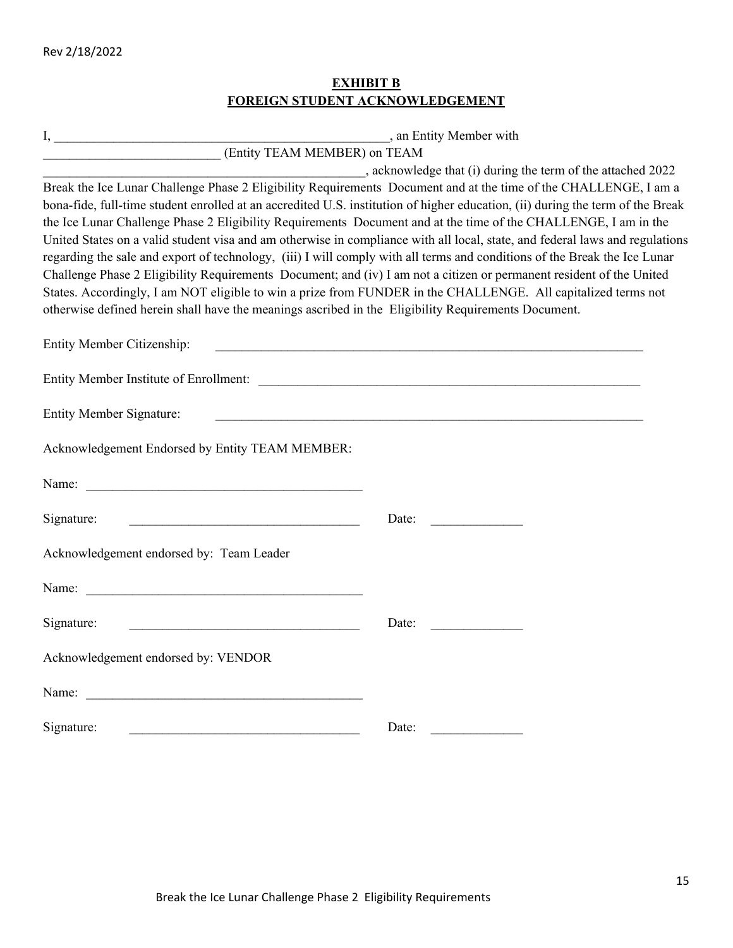## **EXHIBIT B FOREIGN STUDENT ACKNOWLEDGEMENT**

|                                                                                                                           | , an Entity Member with                                                                                                        |
|---------------------------------------------------------------------------------------------------------------------------|--------------------------------------------------------------------------------------------------------------------------------|
| (Entity TEAM MEMBER) on TEAM                                                                                              |                                                                                                                                |
|                                                                                                                           | , acknowledge that (i) during the term of the attached 2022                                                                    |
| Break the Ice Lunar Challenge Phase 2 Eligibility Requirements Document and at the time of the CHALLENGE, I am a          |                                                                                                                                |
|                                                                                                                           | bona-fide, full-time student enrolled at an accredited U.S. institution of higher education, (ii) during the term of the Break |
| the Ice Lunar Challenge Phase 2 Eligibility Requirements Document and at the time of the CHALLENGE, I am in the           |                                                                                                                                |
|                                                                                                                           | United States on a valid student visa and am otherwise in compliance with all local, state, and federal laws and regulations   |
| regarding the sale and export of technology, (iii) I will comply with all terms and conditions of the Break the Ice Lunar |                                                                                                                                |
| Challenge Phase 2 Eligibility Requirements Document; and (iv) I am not a citizen or permanent resident of the United      |                                                                                                                                |
| States. Accordingly, I am NOT eligible to win a prize from FUNDER in the CHALLENGE. All capitalized terms not             |                                                                                                                                |
| otherwise defined herein shall have the meanings ascribed in the Eligibility Requirements Document.                       |                                                                                                                                |
| <b>Entity Member Citizenship:</b>                                                                                         |                                                                                                                                |
|                                                                                                                           |                                                                                                                                |
| <b>Entity Member Signature:</b>                                                                                           |                                                                                                                                |
| Acknowledgement Endorsed by Entity TEAM MEMBER:                                                                           |                                                                                                                                |
| Name:                                                                                                                     |                                                                                                                                |
| Signature:                                                                                                                | Date:                                                                                                                          |
| Acknowledgement endorsed by: Team Leader                                                                                  |                                                                                                                                |
|                                                                                                                           |                                                                                                                                |
| Signature:                                                                                                                | Date:                                                                                                                          |
| Acknowledgement endorsed by: VENDOR                                                                                       |                                                                                                                                |
| Name:                                                                                                                     |                                                                                                                                |
| Signature:                                                                                                                | Date:                                                                                                                          |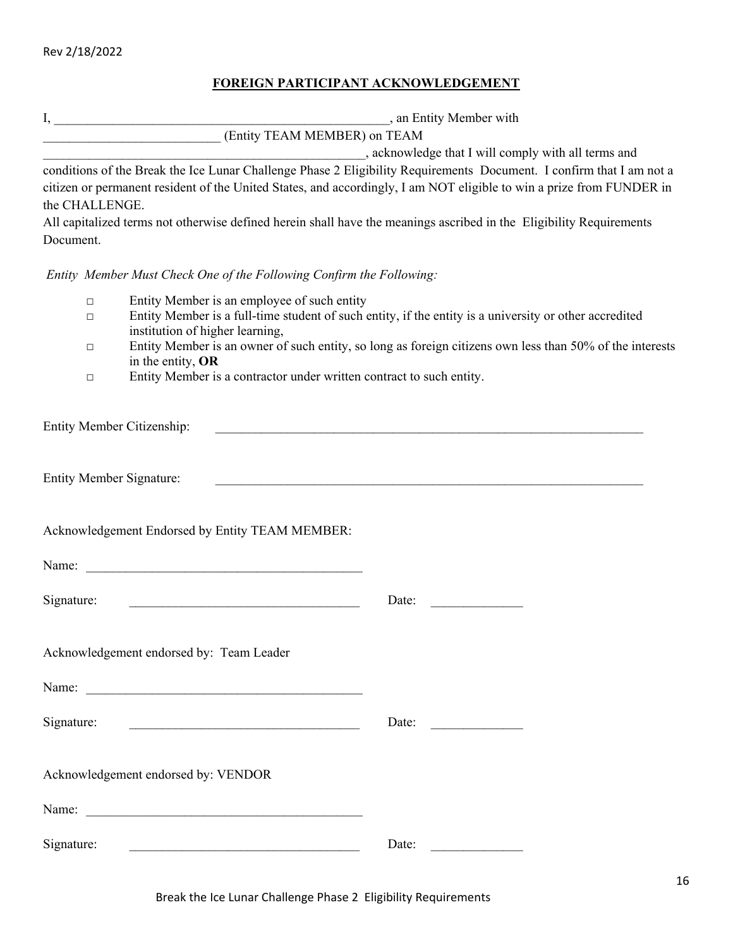## **FOREIGN PARTICIPANT ACKNOWLEDGEMENT**

|            |                                                                                                                         | FOREIGN PARTICIPANT ACKNOWLEDGEMENT                                                                                  |
|------------|-------------------------------------------------------------------------------------------------------------------------|----------------------------------------------------------------------------------------------------------------------|
|            |                                                                                                                         |                                                                                                                      |
|            | Entity TEAM MEMBER) on TEAM                                                                                             |                                                                                                                      |
|            |                                                                                                                         |                                                                                                                      |
|            |                                                                                                                         | conditions of the Break the Ice Lunar Challenge Phase 2 Eligibility Requirements Document. I confirm that I am not a |
|            |                                                                                                                         | citizen or permanent resident of the United States, and accordingly, I am NOT eligible to win a prize from FUNDER in |
|            | the CHALLENGE.                                                                                                          |                                                                                                                      |
| Document.  |                                                                                                                         | All capitalized terms not otherwise defined herein shall have the meanings ascribed in the Eligibility Requirements  |
|            | Entity Member Must Check One of the Following Confirm the Following:                                                    |                                                                                                                      |
|            | Entity Member is an employee of such entity<br>$\Box$                                                                   |                                                                                                                      |
|            | $\Box$                                                                                                                  | Entity Member is a full-time student of such entity, if the entity is a university or other accredited               |
|            | institution of higher learning,                                                                                         | Entity Member is an owner of such entity, so long as foreign citizens own less than 50% of the interests             |
|            | $\Box$<br>in the entity, OR                                                                                             |                                                                                                                      |
|            | Entity Member is a contractor under written contract to such entity.<br>$\Box$                                          |                                                                                                                      |
|            | <b>Entity Member Citizenship:</b><br><b>Entity Member Signature:</b><br>Acknowledgement Endorsed by Entity TEAM MEMBER: |                                                                                                                      |
|            |                                                                                                                         |                                                                                                                      |
| Signature: |                                                                                                                         | Date:                                                                                                                |
|            | Acknowledgement endorsed by: Team Leader                                                                                |                                                                                                                      |
|            |                                                                                                                         |                                                                                                                      |
| Signature: |                                                                                                                         | Date:                                                                                                                |
|            | Acknowledgement endorsed by: VENDOR                                                                                     |                                                                                                                      |
| Name:      |                                                                                                                         |                                                                                                                      |

Signature: \_\_\_\_\_\_\_\_\_\_\_\_\_\_\_\_\_\_\_\_\_\_\_\_\_\_\_\_\_\_\_\_\_\_\_ Date: \_\_\_\_\_\_\_\_\_\_\_\_\_\_